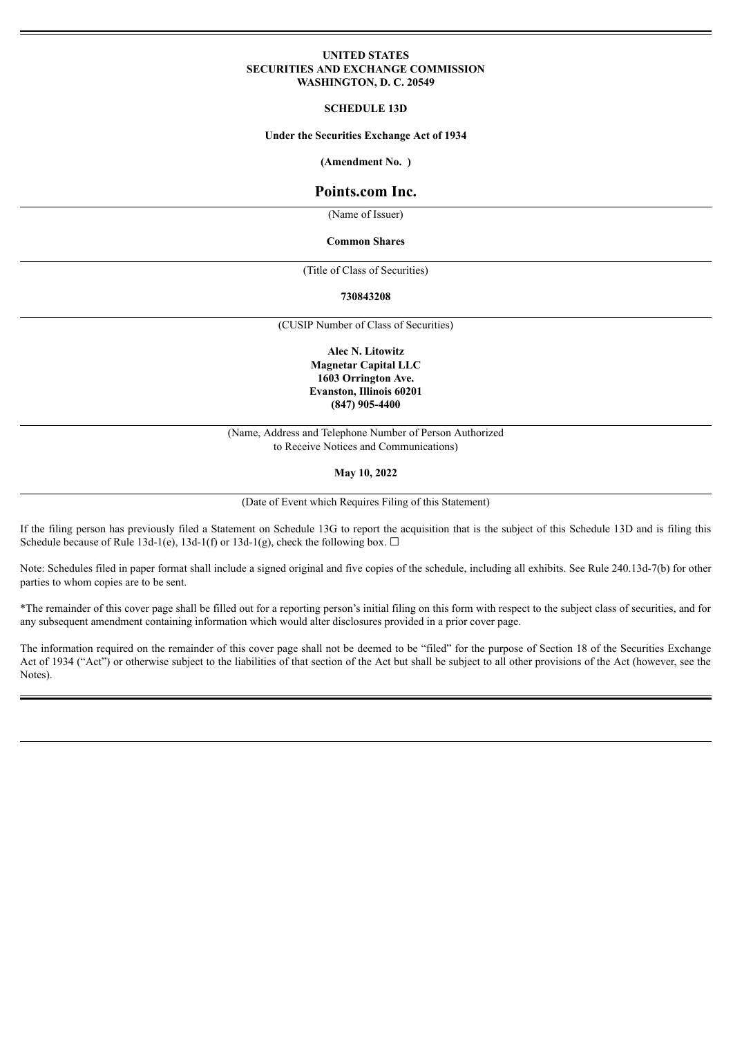## **UNITED STATES SECURITIES AND EXCHANGE COMMISSION WASHINGTON, D. C. 20549**

### **SCHEDULE 13D**

#### **Under the Securities Exchange Act of 1934**

**(Amendment No. )**

# **Points.com Inc.**

(Name of Issuer)

#### **Common Shares**

(Title of Class of Securities)

#### **730843208**

(CUSIP Number of Class of Securities)

**Alec N. Litowitz Magnetar Capital LLC 1603 Orrington Ave. Evanston, Illinois 60201 (847) 905-4400**

(Name, Address and Telephone Number of Person Authorized to Receive Notices and Communications)

**May 10, 2022**

(Date of Event which Requires Filing of this Statement)

If the filing person has previously filed a Statement on Schedule 13G to report the acquisition that is the subject of this Schedule 13D and is filing this Schedule because of Rule 13d-1(e), 13d-1(f) or 13d-1(g), check the following box.  $\Box$ 

Note: Schedules filed in paper format shall include a signed original and five copies of the schedule, including all exhibits. See Rule 240.13d-7(b) for other parties to whom copies are to be sent.

\*The remainder of this cover page shall be filled out for a reporting person's initial filing on this form with respect to the subject class of securities, and for any subsequent amendment containing information which would alter disclosures provided in a prior cover page.

The information required on the remainder of this cover page shall not be deemed to be "filed" for the purpose of Section 18 of the Securities Exchange Act of 1934 ("Act") or otherwise subject to the liabilities of that section of the Act but shall be subject to all other provisions of the Act (however, see the Notes).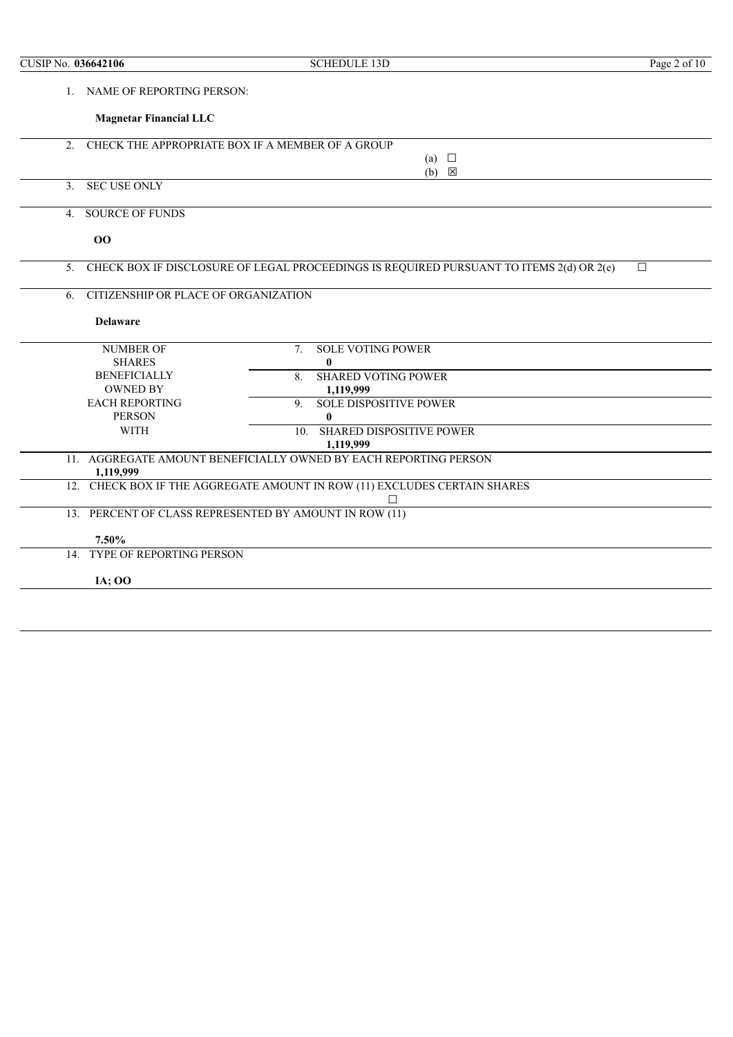| CUSIP No. 036642106 |                                      | <b>SCHEDULE 13D</b>                                                                     | Page 2 of 10 |
|---------------------|--------------------------------------|-----------------------------------------------------------------------------------------|--------------|
| 1                   | NAME OF REPORTING PERSON:            |                                                                                         |              |
|                     | <b>Magnetar Financial LLC</b>        |                                                                                         |              |
| 2 <sub>1</sub>      |                                      | CHECK THE APPROPRIATE BOX IF A MEMBER OF A GROUP                                        |              |
|                     |                                      | (a) $\Box$<br>$(b) \quad \boxtimes$                                                     |              |
| 3.                  | <b>SEC USE ONLY</b>                  |                                                                                         |              |
| $4_{\cdot}$         | <b>SOURCE OF FUNDS</b>               |                                                                                         |              |
|                     | 00                                   |                                                                                         |              |
| 5.                  |                                      | CHECK BOX IF DISCLOSURE OF LEGAL PROCEEDINGS IS REQUIRED PURSUANT TO ITEMS 2(d) OR 2(e) | $\Box$       |
| 6.                  | CITIZENSHIP OR PLACE OF ORGANIZATION |                                                                                         |              |
|                     | <b>Delaware</b>                      |                                                                                         |              |
|                     | <b>NUMBER OF</b>                     | <b>SOLE VOTING POWER</b><br>$7_{\scriptscriptstyle{\ddots}}$                            |              |
|                     | <b>SHARES</b>                        | $\bf{0}$                                                                                |              |
|                     | <b>BENEFICIALLY</b>                  | <b>SHARED VOTING POWER</b><br>8.                                                        |              |
|                     | <b>OWNED BY</b>                      | 1,119,999                                                                               |              |
|                     | <b>EACH REPORTING</b>                | <b>SOLE DISPOSITIVE POWER</b><br>9                                                      |              |
|                     | <b>PERSON</b>                        | $\bf{0}$                                                                                |              |
|                     | <b>WITH</b>                          | <b>SHARED DISPOSITIVE POWER</b><br>10 <sub>1</sub><br>1,119,999                         |              |
|                     | 1,119,999                            | 11. AGGREGATE AMOUNT BENEFICIALLY OWNED BY EACH REPORTING PERSON                        |              |
|                     |                                      | 12. CHECK BOX IF THE AGGREGATE AMOUNT IN ROW (11) EXCLUDES CERTAIN SHARES<br>П          |              |
|                     |                                      | 13. PERCENT OF CLASS REPRESENTED BY AMOUNT IN ROW (11)                                  |              |
|                     | 7.50%                                |                                                                                         |              |
|                     | 14. TYPE OF REPORTING PERSON         |                                                                                         |              |
|                     | <b>IA</b> ; 00                       |                                                                                         |              |
|                     |                                      |                                                                                         |              |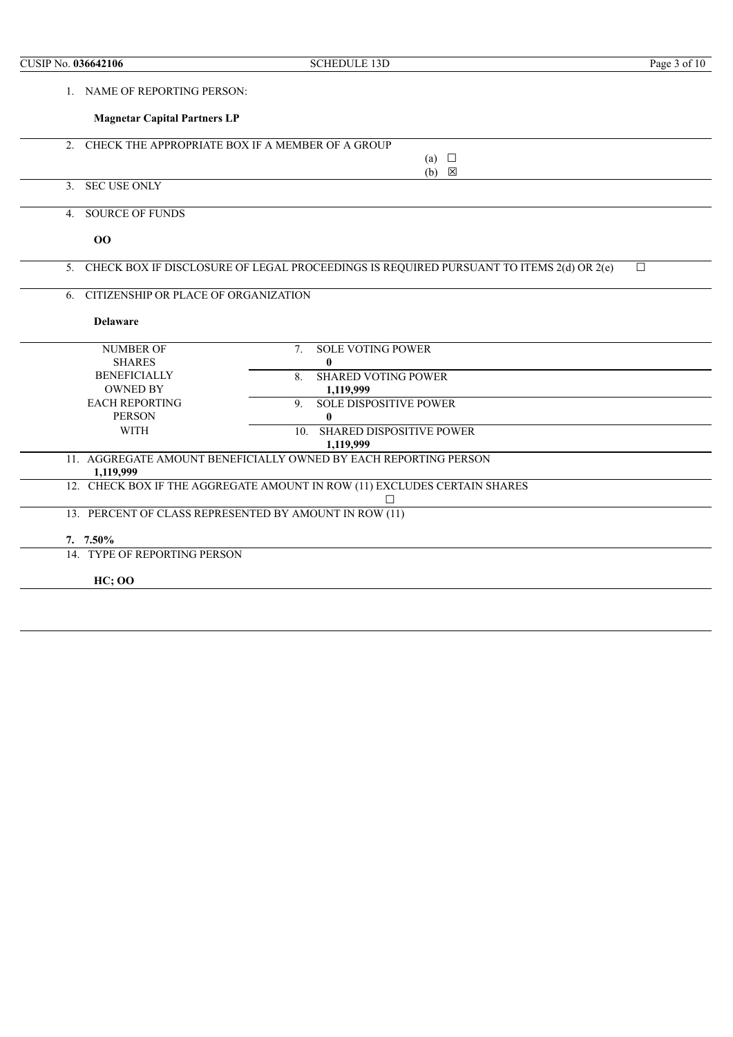| CUSIP No. 036642106 |                                      | <b>SCHEDULE 13D</b>                                                                     | Page $3$ of 10 |
|---------------------|--------------------------------------|-----------------------------------------------------------------------------------------|----------------|
|                     | 1. NAME OF REPORTING PERSON:         |                                                                                         |                |
|                     | <b>Magnetar Capital Partners LP</b>  |                                                                                         |                |
| $2_{1}$             |                                      | CHECK THE APPROPRIATE BOX IF A MEMBER OF A GROUP                                        |                |
|                     |                                      | (a) $\Box$<br>$(b) \quad \boxtimes$                                                     |                |
|                     | 3. SEC USE ONLY                      |                                                                                         |                |
| 4.                  | <b>SOURCE OF FUNDS</b>               |                                                                                         |                |
|                     | 00                                   |                                                                                         |                |
| 5.                  |                                      | CHECK BOX IF DISCLOSURE OF LEGAL PROCEEDINGS IS REQUIRED PURSUANT TO ITEMS 2(d) OR 2(e) | $\Box$         |
| 6.                  | CITIZENSHIP OR PLACE OF ORGANIZATION |                                                                                         |                |
|                     | <b>Delaware</b>                      |                                                                                         |                |
|                     | <b>NUMBER OF</b>                     | <b>SOLE VOTING POWER</b><br>7.                                                          |                |
|                     | <b>SHARES</b>                        | $\mathbf{0}$                                                                            |                |
|                     | <b>BENEFICIALLY</b>                  | <b>SHARED VOTING POWER</b><br>8.                                                        |                |
|                     | <b>OWNED BY</b>                      | 1,119,999                                                                               |                |
|                     | <b>EACH REPORTING</b>                | <b>SOLE DISPOSITIVE POWER</b><br>9.                                                     |                |
|                     | <b>PERSON</b>                        | $\bf{0}$                                                                                |                |
|                     | <b>WITH</b>                          | <b>SHARED DISPOSITIVE POWER</b><br>10 <sub>1</sub>                                      |                |
|                     |                                      | 1,119,999                                                                               |                |
|                     | 1,119,999                            | 11. AGGREGATE AMOUNT BENEFICIALLY OWNED BY EACH REPORTING PERSON                        |                |
|                     |                                      | 12. CHECK BOX IF THE AGGREGATE AMOUNT IN ROW (11) EXCLUDES CERTAIN SHARES               |                |
|                     |                                      | 13. PERCENT OF CLASS REPRESENTED BY AMOUNT IN ROW (11)                                  |                |
|                     | 7. 7.50%                             |                                                                                         |                |
|                     | 14. TYPE OF REPORTING PERSON         |                                                                                         |                |
|                     | <b>HC; OO</b>                        |                                                                                         |                |
|                     |                                      |                                                                                         |                |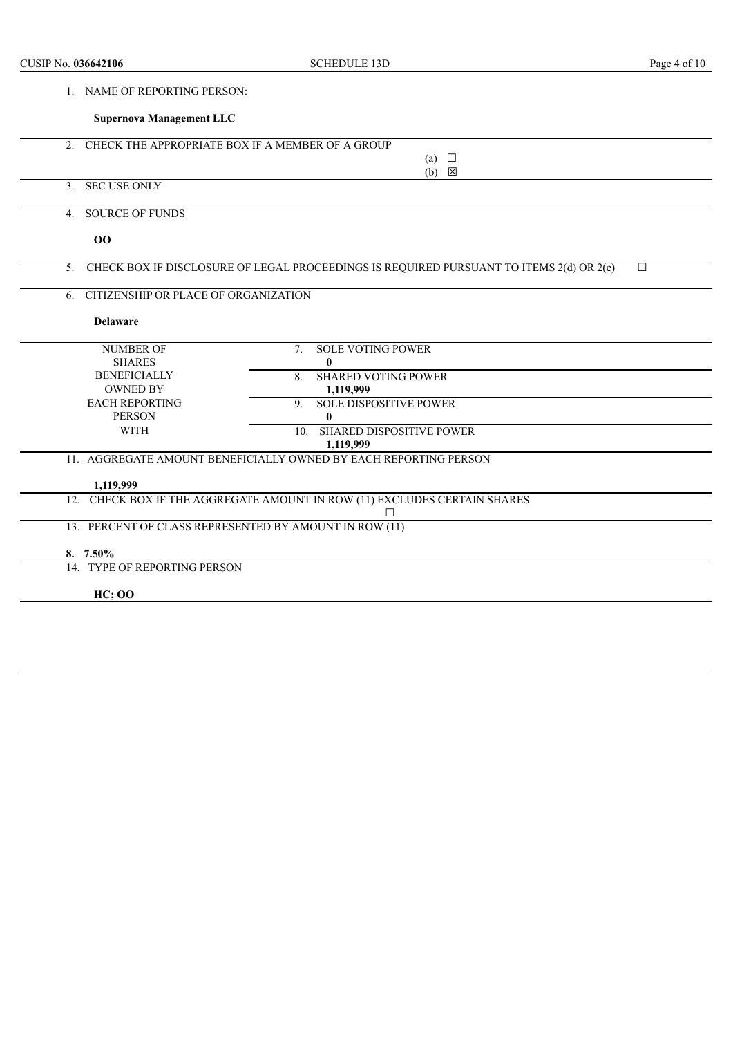| CUSIP No. 036642106 |                                      | <b>SCHEDULE 13D</b>                                                                     | Page 4 of 10 |
|---------------------|--------------------------------------|-----------------------------------------------------------------------------------------|--------------|
|                     | 1. NAME OF REPORTING PERSON:         |                                                                                         |              |
|                     | <b>Supernova Management LLC</b>      |                                                                                         |              |
| 2 <sub>1</sub>      |                                      | CHECK THE APPROPRIATE BOX IF A MEMBER OF A GROUP                                        |              |
|                     |                                      | (a) $\Box$                                                                              |              |
|                     | 3. SEC USE ONLY                      | $(b) \quad \boxtimes$                                                                   |              |
| 4.                  | <b>SOURCE OF FUNDS</b>               |                                                                                         |              |
|                     | 00                                   |                                                                                         |              |
| 5                   |                                      | CHECK BOX IF DISCLOSURE OF LEGAL PROCEEDINGS IS REQUIRED PURSUANT TO ITEMS 2(d) OR 2(e) | $\Box$       |
| 6.                  | CITIZENSHIP OR PLACE OF ORGANIZATION |                                                                                         |              |
|                     | <b>Delaware</b>                      |                                                                                         |              |
|                     | <b>NUMBER OF</b>                     | <b>SOLE VOTING POWER</b><br>7.                                                          |              |
|                     | <b>SHARES</b>                        | $\bf{0}$                                                                                |              |
|                     | <b>BENEFICIALLY</b>                  | <b>SHARED VOTING POWER</b><br>8.                                                        |              |
|                     | <b>OWNED BY</b>                      | 1,119,999                                                                               |              |
|                     | <b>EACH REPORTING</b>                | <b>SOLE DISPOSITIVE POWER</b><br>9                                                      |              |
|                     | <b>PERSON</b>                        | 0                                                                                       |              |
|                     | <b>WITH</b>                          | <b>SHARED DISPOSITIVE POWER</b><br>10.                                                  |              |
|                     |                                      | 1,119,999                                                                               |              |
|                     |                                      | 11. AGGREGATE AMOUNT BENEFICIALLY OWNED BY EACH REPORTING PERSON                        |              |
|                     | 1,119,999                            |                                                                                         |              |
|                     |                                      | 12. CHECK BOX IF THE AGGREGATE AMOUNT IN ROW (11) EXCLUDES CERTAIN SHARES               |              |
|                     |                                      | П                                                                                       |              |
|                     |                                      | 13. PERCENT OF CLASS REPRESENTED BY AMOUNT IN ROW (11)                                  |              |
|                     | $8.7.50\%$                           |                                                                                         |              |
|                     | 14. TYPE OF REPORTING PERSON         |                                                                                         |              |
|                     |                                      |                                                                                         |              |
|                     | <b>HC</b> ; OO                       |                                                                                         |              |
|                     |                                      |                                                                                         |              |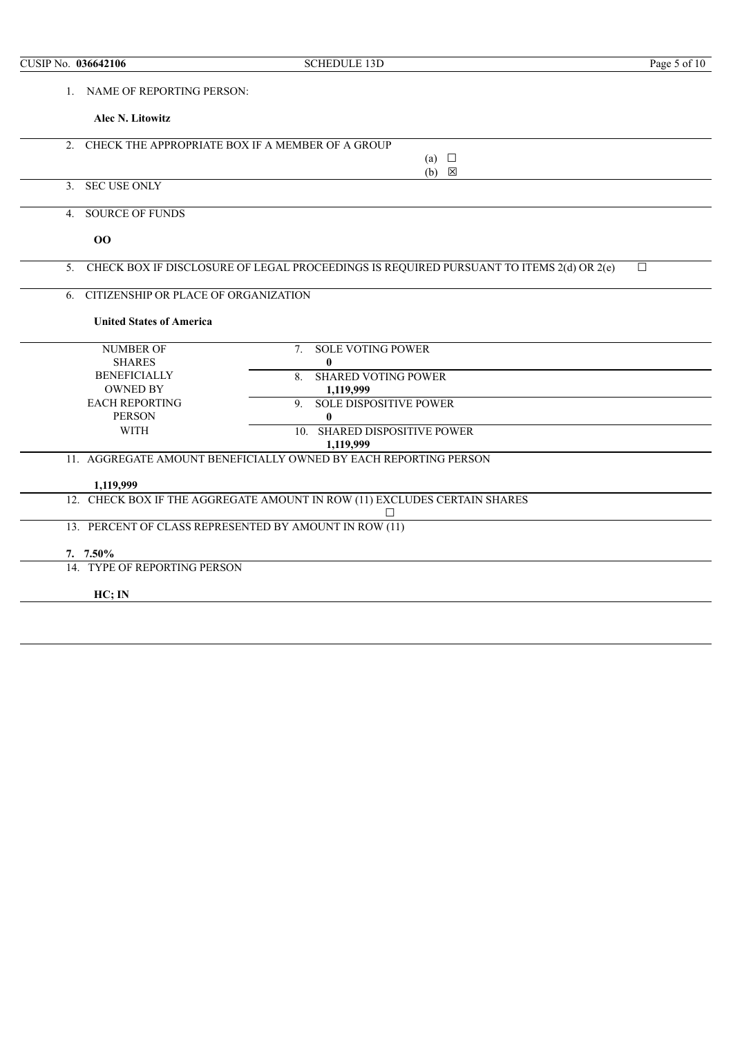| CUSIP No. 036642106 |                                          | <b>SCHEDULE 13D</b>                                                                     | Page 5 of 10 |
|---------------------|------------------------------------------|-----------------------------------------------------------------------------------------|--------------|
|                     | 1. NAME OF REPORTING PERSON:             |                                                                                         |              |
|                     | Alec N. Litowitz                         |                                                                                         |              |
| 2.                  |                                          | CHECK THE APPROPRIATE BOX IF A MEMBER OF A GROUP                                        |              |
|                     |                                          | (a) $\Box$                                                                              |              |
|                     |                                          | $(b) \quad \boxtimes$                                                                   |              |
| 3 <sub>1</sub>      | <b>SEC USE ONLY</b>                      |                                                                                         |              |
| $4_{\cdot}$         | <b>SOURCE OF FUNDS</b>                   |                                                                                         |              |
|                     | 00                                       |                                                                                         |              |
| 5 <sub>1</sub>      |                                          | CHECK BOX IF DISCLOSURE OF LEGAL PROCEEDINGS IS REQUIRED PURSUANT TO ITEMS 2(d) OR 2(e) | $\Box$       |
| 6.                  | CITIZENSHIP OR PLACE OF ORGANIZATION     |                                                                                         |              |
|                     | <b>United States of America</b>          |                                                                                         |              |
|                     | <b>NUMBER OF</b>                         | <b>SOLE VOTING POWER</b><br>7 <sub>1</sub>                                              |              |
|                     | <b>SHARES</b>                            | $\bf{0}$                                                                                |              |
|                     | <b>BENEFICIALLY</b>                      | <b>SHARED VOTING POWER</b><br>8                                                         |              |
|                     | <b>OWNED BY</b><br><b>EACH REPORTING</b> | 1,119,999<br><b>SOLE DISPOSITIVE POWER</b><br>9 <sub>1</sub>                            |              |
|                     | <b>PERSON</b>                            | $\bf{0}$                                                                                |              |
|                     | <b>WITH</b>                              | <b>SHARED DISPOSITIVE POWER</b><br>10.                                                  |              |
|                     |                                          | 1,119,999                                                                               |              |
|                     |                                          | 11. AGGREGATE AMOUNT BENEFICIALLY OWNED BY EACH REPORTING PERSON                        |              |
|                     | 1,119,999                                |                                                                                         |              |
|                     |                                          | 12. CHECK BOX IF THE AGGREGATE AMOUNT IN ROW (11) EXCLUDES CERTAIN SHARES               |              |
|                     |                                          | П                                                                                       |              |
|                     |                                          | 13. PERCENT OF CLASS REPRESENTED BY AMOUNT IN ROW (11)                                  |              |
|                     | 7. $7.50\%$                              |                                                                                         |              |
|                     | 14. TYPE OF REPORTING PERSON             |                                                                                         |              |
|                     | HC; IN                                   |                                                                                         |              |
|                     |                                          |                                                                                         |              |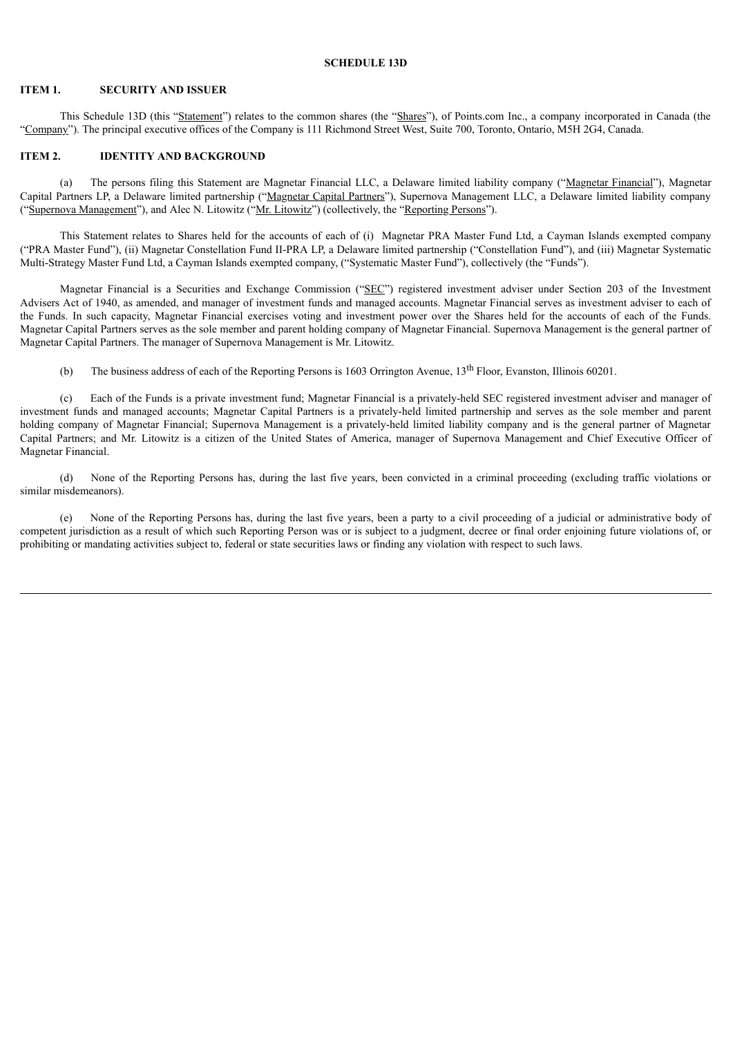## **SCHEDULE 13D**

#### **ITEM 1. SECURITY AND ISSUER**

This Schedule 13D (this "Statement") relates to the common shares (the "Shares"), of Points.com Inc., a company incorporated in Canada (the "Company"). The principal executive offices of the Company is 111 Richmond Street West, Suite 700, Toronto, Ontario, M5H 2G4, Canada.

# **ITEM 2. IDENTITY AND BACKGROUND**

(a) The persons filing this Statement are Magnetar Financial LLC, a Delaware limited liability company ("Magnetar Financial"), Magnetar Capital Partners LP, a Delaware limited partnership ("Magnetar Capital Partners"), Supernova Management LLC, a Delaware limited liability company ("Supernova Management"), and Alec N. Litowitz ("Mr. Litowitz") (collectively, the "Reporting Persons").

This Statement relates to Shares held for the accounts of each of (i) Magnetar PRA Master Fund Ltd, a Cayman Islands exempted company ("PRA Master Fund"), (ii) Magnetar Constellation Fund II-PRA LP, a Delaware limited partnership ("Constellation Fund"), and (iii) Magnetar Systematic Multi-Strategy Master Fund Ltd, a Cayman Islands exempted company, ("Systematic Master Fund"), collectively (the "Funds").

Magnetar Financial is a Securities and Exchange Commission ("SEC") registered investment adviser under Section 203 of the Investment Advisers Act of 1940, as amended, and manager of investment funds and managed accounts. Magnetar Financial serves as investment adviser to each of the Funds. In such capacity, Magnetar Financial exercises voting and investment power over the Shares held for the accounts of each of the Funds. Magnetar Capital Partners serves as the sole member and parent holding company of Magnetar Financial. Supernova Management is the general partner of Magnetar Capital Partners. The manager of Supernova Management is Mr. Litowitz.

(b) The business address of each of the Reporting Persons is 1603 Orrington Avenue,  $13<sup>th</sup>$  Floor, Evanston, Illinois 60201.

(c) Each of the Funds is a private investment fund; Magnetar Financial is a privately-held SEC registered investment adviser and manager of investment funds and managed accounts; Magnetar Capital Partners is a privately-held limited partnership and serves as the sole member and parent holding company of Magnetar Financial; Supernova Management is a privately-held limited liability company and is the general partner of Magnetar Capital Partners; and Mr. Litowitz is a citizen of the United States of America, manager of Supernova Management and Chief Executive Officer of Magnetar Financial.

(d) None of the Reporting Persons has, during the last five years, been convicted in a criminal proceeding (excluding traffic violations or similar misdemeanors).

(e) None of the Reporting Persons has, during the last five years, been a party to a civil proceeding of a judicial or administrative body of competent jurisdiction as a result of which such Reporting Person was or is subject to a judgment, decree or final order enjoining future violations of, or prohibiting or mandating activities subject to, federal or state securities laws or finding any violation with respect to such laws.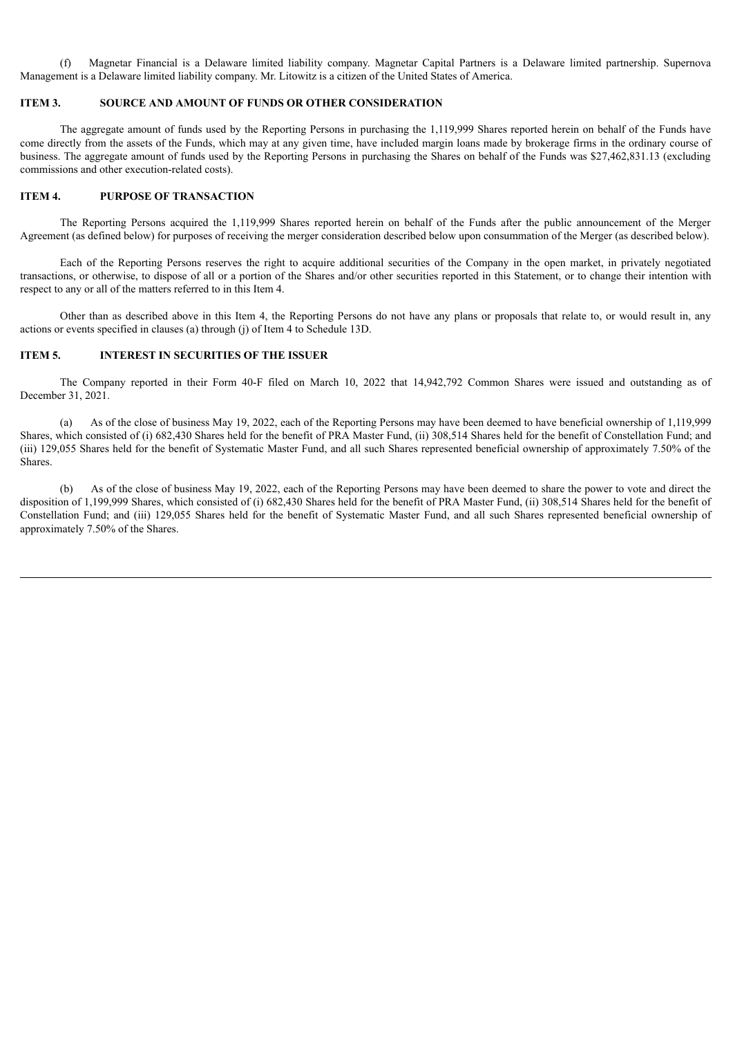(f) Magnetar Financial is a Delaware limited liability company. Magnetar Capital Partners is a Delaware limited partnership. Supernova Management is a Delaware limited liability company. Mr. Litowitz is a citizen of the United States of America.

## **ITEM 3. SOURCE AND AMOUNT OF FUNDS OR OTHER CONSIDERATION**

The aggregate amount of funds used by the Reporting Persons in purchasing the 1,119,999 Shares reported herein on behalf of the Funds have come directly from the assets of the Funds, which may at any given time, have included margin loans made by brokerage firms in the ordinary course of business. The aggregate amount of funds used by the Reporting Persons in purchasing the Shares on behalf of the Funds was \$27,462,831.13 (excluding commissions and other execution-related costs).

### **ITEM 4. PURPOSE OF TRANSACTION**

The Reporting Persons acquired the 1,119,999 Shares reported herein on behalf of the Funds after the public announcement of the Merger Agreement (as defined below) for purposes of receiving the merger consideration described below upon consummation of the Merger (as described below).

Each of the Reporting Persons reserves the right to acquire additional securities of the Company in the open market, in privately negotiated transactions, or otherwise, to dispose of all or a portion of the Shares and/or other securities reported in this Statement, or to change their intention with respect to any or all of the matters referred to in this Item 4.

Other than as described above in this Item 4, the Reporting Persons do not have any plans or proposals that relate to, or would result in, any actions or events specified in clauses (a) through (j) of Item 4 to Schedule 13D.

## **ITEM 5. INTEREST IN SECURITIES OF THE ISSUER**

The Company reported in their Form 40-F filed on March 10, 2022 that 14,942,792 Common Shares were issued and outstanding as of December 31, 2021.

(a) As of the close of business May 19, 2022, each of the Reporting Persons may have been deemed to have beneficial ownership of 1,119,999 Shares, which consisted of (i) 682,430 Shares held for the benefit of PRA Master Fund, (ii) 308,514 Shares held for the benefit of Constellation Fund; and (iii) 129,055 Shares held for the benefit of Systematic Master Fund, and all such Shares represented beneficial ownership of approximately 7.50% of the Shares.

(b) As of the close of business May 19, 2022, each of the Reporting Persons may have been deemed to share the power to vote and direct the disposition of 1,199,999 Shares, which consisted of (i) 682,430 Shares held for the benefit of PRA Master Fund, (ii) 308,514 Shares held for the benefit of Constellation Fund; and (iii) 129,055 Shares held for the benefit of Systematic Master Fund, and all such Shares represented beneficial ownership of approximately 7.50% of the Shares.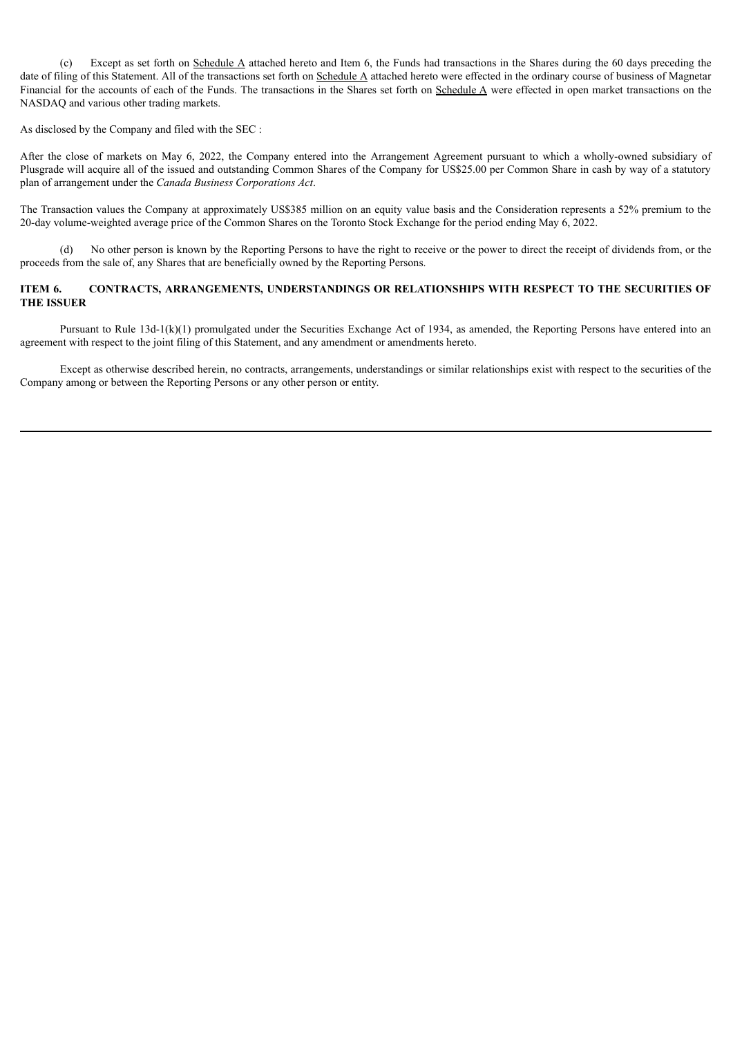(c) Except as set forth on Schedule A attached hereto and Item 6, the Funds had transactions in the Shares during the 60 days preceding the date of filing of this Statement. All of the transactions set forth on Schedule A attached hereto were effected in the ordinary course of business of Magnetar Financial for the accounts of each of the Funds. The transactions in the Shares set forth on Schedule A were effected in open market transactions on the NASDAQ and various other trading markets.

As disclosed by the Company and filed with the SEC :

After the close of markets on May 6, 2022, the Company entered into the Arrangement Agreement pursuant to which a wholly-owned subsidiary of Plusgrade will acquire all of the issued and outstanding Common Shares of the Company for US\$25.00 per Common Share in cash by way of a statutory plan of arrangement under the *Canada Business Corporations Act*.

The Transaction values the Company at approximately US\$385 million on an equity value basis and the Consideration represents a 52% premium to the 20-day volume-weighted average price of the Common Shares on the Toronto Stock Exchange for the period ending May 6, 2022.

(d) No other person is known by the Reporting Persons to have the right to receive or the power to direct the receipt of dividends from, or the proceeds from the sale of, any Shares that are beneficially owned by the Reporting Persons.

# **ITEM 6. CONTRACTS, ARRANGEMENTS, UNDERSTANDINGS OR RELATIONSHIPS WITH RESPECT TO THE SECURITIES OF THE ISSUER**

Pursuant to Rule 13d-1(k)(1) promulgated under the Securities Exchange Act of 1934, as amended, the Reporting Persons have entered into an agreement with respect to the joint filing of this Statement, and any amendment or amendments hereto.

Except as otherwise described herein, no contracts, arrangements, understandings or similar relationships exist with respect to the securities of the Company among or between the Reporting Persons or any other person or entity.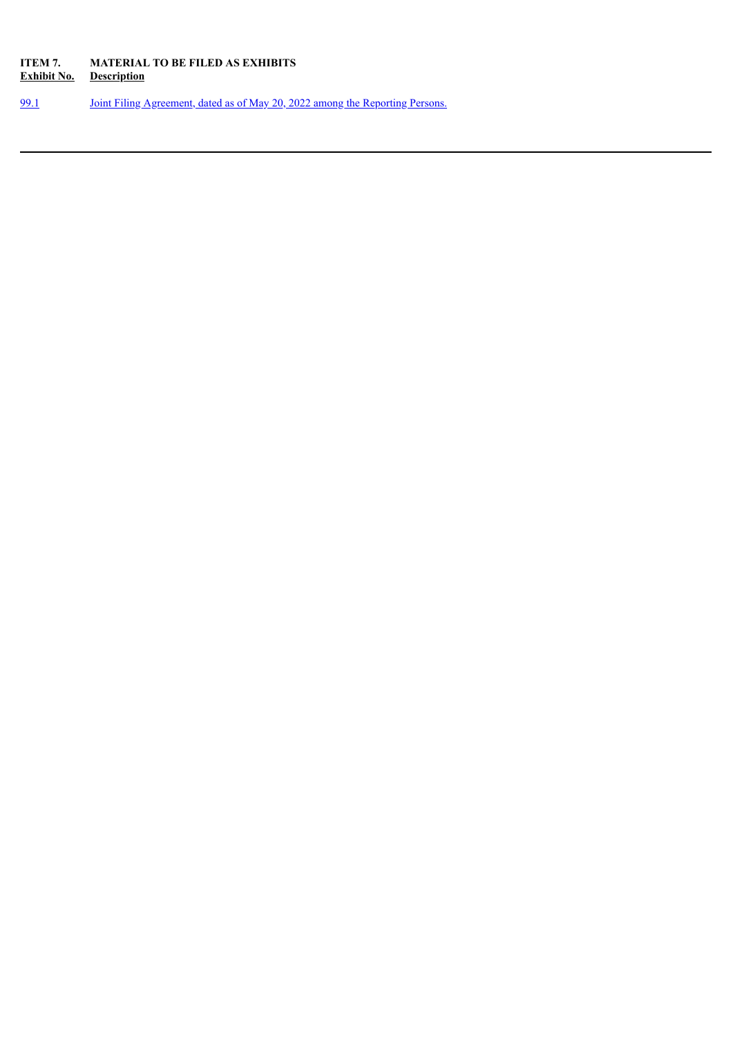# **ITEM 7. MATERIAL TO BE FILED AS EXHIBITS Exhibit No. Description**

[99.1](#page-12-0) Joint Filing [Agreement,](#page-12-0) dated as of May 20, 2022 among the Reporting Persons.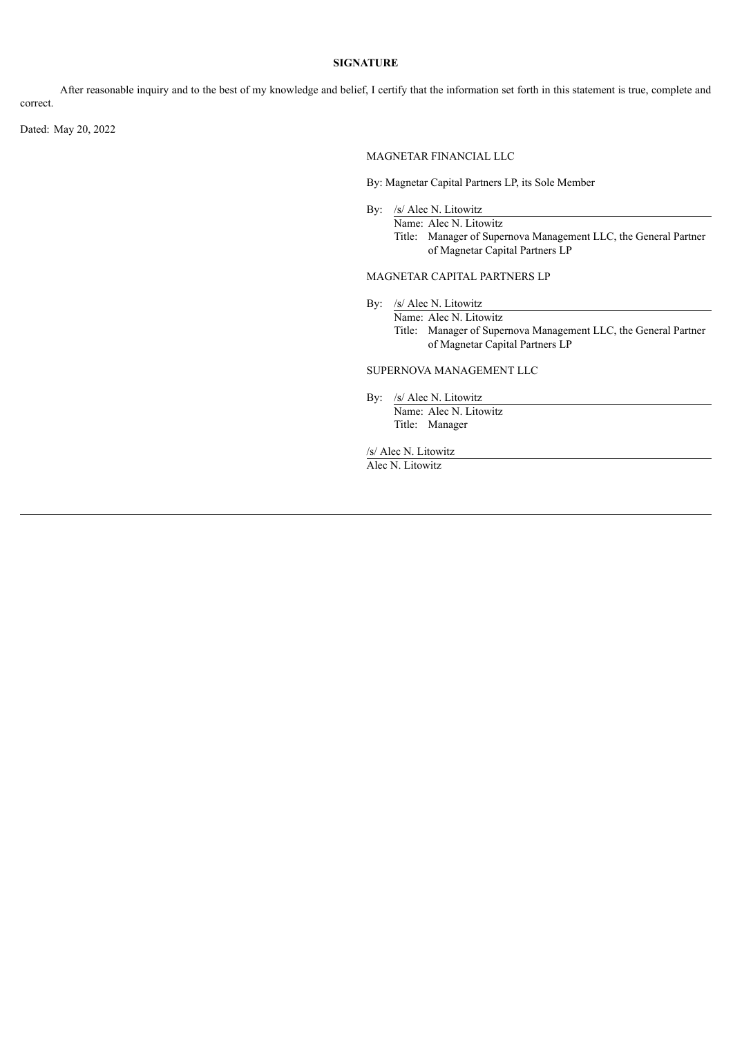## **SIGNATURE**

After reasonable inquiry and to the best of my knowledge and belief, I certify that the information set forth in this statement is true, complete and correct.

Dated: May 20, 2022

MAGNETAR FINANCIAL LLC

By: Magnetar Capital Partners LP, its Sole Member

By: /s/ Alec N. Litowitz Name: Alec N. Litowitz Title: Manager of Supernova Management LLC, the General Partner of Magnetar Capital Partners LP

### MAGNETAR CAPITAL PARTNERS LP

By: /s/ Alec N. Litowitz

Name: Alec N. Litowitz Title: Manager of Supernova Management LLC, the General Partner of Magnetar Capital Partners LP

# SUPERNOVA MANAGEMENT LLC

By: /s/ Alec N. Litowitz Name: Alec N. Litowitz Title: Manager

/s/ Alec N. Litowitz

Alec N. Litowitz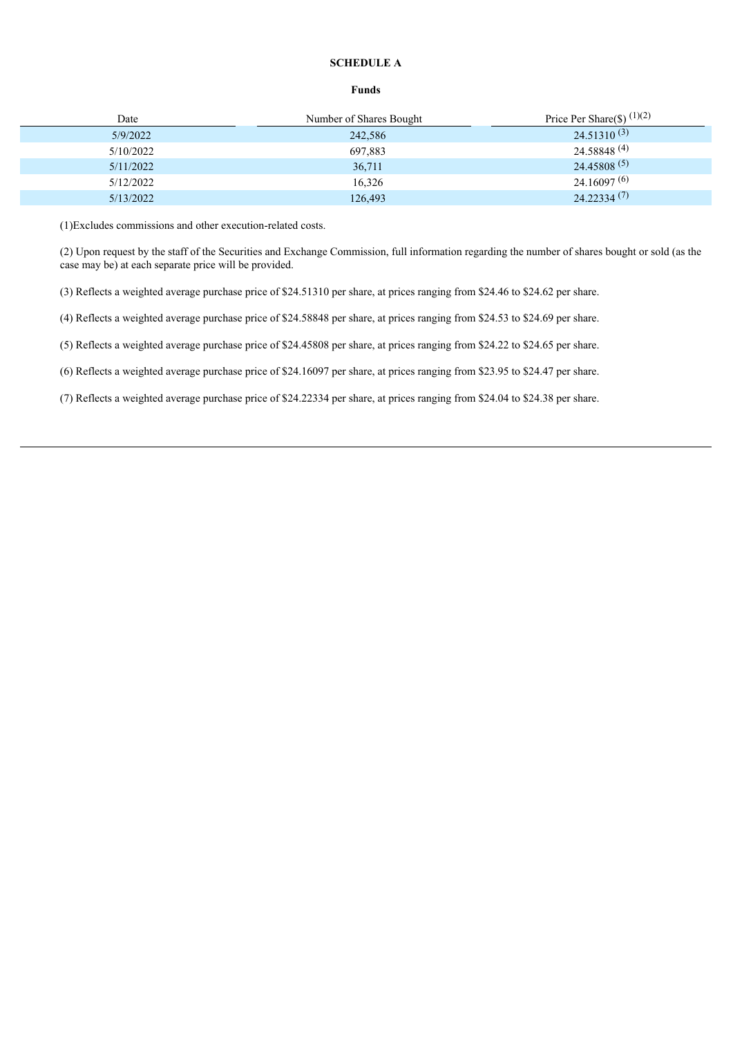# **SCHEDULE A**

#### **Funds**

| Date      | Number of Shares Bought | Price Per Share(\$) $(1)(2)$ |
|-----------|-------------------------|------------------------------|
| 5/9/2022  | 242,586                 | $24.51310^{(3)}$             |
| 5/10/2022 | 697,883                 | $24.58848^{(4)}$             |
| 5/11/2022 | 36,711                  | $24.45808^{(5)}$             |
| 5/12/2022 | 16,326                  | $24.16097^{(6)}$             |
| 5/13/2022 | 126,493                 | 24.22334(7)                  |

(1)Excludes commissions and other execution-related costs.

(2) Upon request by the staff of the Securities and Exchange Commission, full information regarding the number of shares bought or sold (as the case may be) at each separate price will be provided.

(3) Reflects a weighted average purchase price of \$24.51310 per share, at prices ranging from \$24.46 to \$24.62 per share.

(4) Reflects a weighted average purchase price of \$24.58848 per share, at prices ranging from \$24.53 to \$24.69 per share.

(5) Reflects a weighted average purchase price of \$24.45808 per share, at prices ranging from \$24.22 to \$24.65 per share.

(6) Reflects a weighted average purchase price of \$24.16097 per share, at prices ranging from \$23.95 to \$24.47 per share.

(7) Reflects a weighted average purchase price of \$24.22334 per share, at prices ranging from \$24.04 to \$24.38 per share.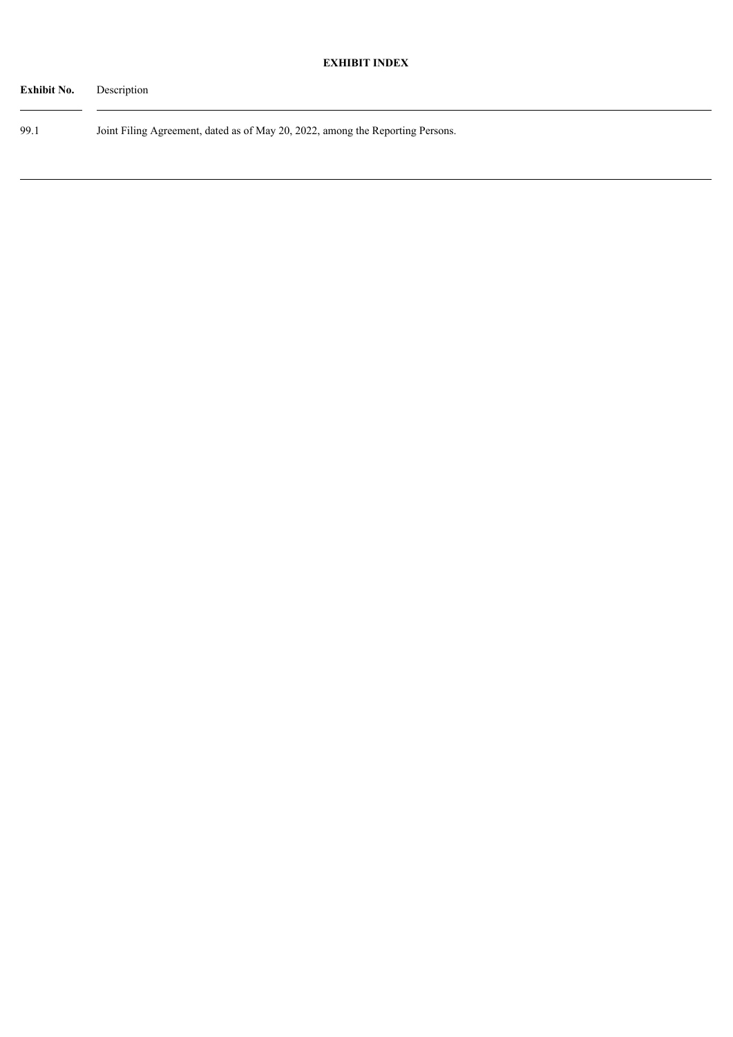| <b>Exhibit No.</b> | Description                                                                    |
|--------------------|--------------------------------------------------------------------------------|
| 99.1               | Joint Filing Agreement, dated as of May 20, 2022, among the Reporting Persons. |